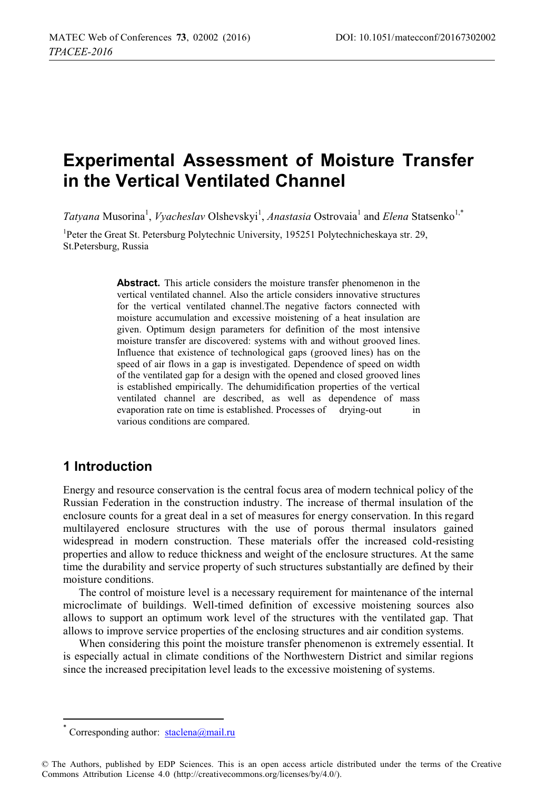# **Experimental Assessment of Moisture Transfer in the Vertical Ventilated Channel**

Tatyana Musorina<sup>1</sup>, *Vyacheslav* Olshevskyi<sup>1</sup>, *Anastasia* Ostrovaia<sup>1</sup> and *Elena* Statsenko<sup>1,\*</sup>

<sup>1</sup>Peter the Great St. Petersburg Polytechnic University, 195251 Polytechnicheskaya str. 29, St.Petersburg, Russia

> **Abstract.** This article considers the moisture transfer phenomenon in the vertical ventilated channel. Also the article considers innovative structures for the vertical ventilated channel.The negative factors connected with moisture accumulation and excessive moistening of a heat insulation are given. Optimum design parameters for definition of the most intensive moisture transfer are discovered: systems with and without grooved lines. Influence that existence of technological gaps (grooved lines) has on the speed of air flows in a gap is investigated. Dependence of speed on width of the ventilated gap for a design with the opened and closed grooved lines is established empirically. The dehumidification properties of the vertical ventilated channel are described, as well as dependence of mass evaporation rate on time is established. Processes of drying-out in various conditions are compared.

# **1 Introduction**

Energy and resource conservation is the central focus area of modern technical policy of the Russian Federation in the construction industry. The increase of thermal insulation of the enclosure counts for a great deal in a set of measures for energy conservation. In this regard multilayered enclosure structures with the use of porous thermal insulators gained widespread in modern construction. These materials offer the increased cold-resisting properties and allow to reduce thickness and weight of the enclosure structures. At the same time the durability and service property of such structures substantially are defined by their moisture conditions.

The control of moisture level is a necessary requirement for maintenance of the internal microclimate of buildings. Well-timed definition of excessive moistening sources also allows to support an optimum work level of the structures with the ventilated gap. That allows to improve service properties of the enclosing structures and air condition systems.

When considering this point the moisture transfer phenomenon is extremely essential. It is especially actual in climate conditions of the Northwestern District and similar regions since the increased precipitation level leads to the excessive moistening of systems.

l

Corresponding author:  $staclena@mail.ru$ 

<sup>©</sup> The Authors, published by EDP Sciences. This is an open access article distributed under the terms of the Creative Commons Attribution License 4.0 (http://creativecommons.org/licenses/by/4.0/).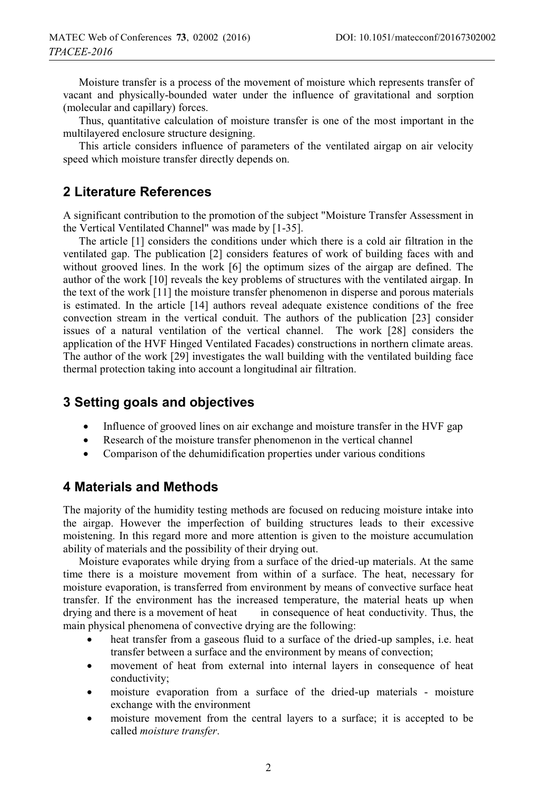Moisture transfer is a process of the movement of moisture which represents transfer of vacant and physically-bounded water under the influence of gravitational and sorption (molecular and capillary) forces.

Thus, quantitative calculation of moisture transfer is one of the most important in the multilayered enclosure structure designing.

This article considers influence of parameters of the ventilated airgap on air velocity speed which moisture transfer directly depends on.

## **2 Literature References**

A significant contribution to the promotion of the subject "Moisture Transfer Assessment in the Vertical Ventilated Channel" was made by [1-35].

The article [1] considers the conditions under which there is a cold air filtration in the ventilated gap. The publication [2] considers features of work of building faces with and without grooved lines. In the work [6] the optimum sizes of the airgap are defined. The author of the work [10] reveals the key problems of structures with the ventilated airgap. In the text of the work [11] the moisture transfer phenomenon in disperse and porous materials is estimated. In the article [14] authors reveal adequate existence conditions of the free convection stream in the vertical conduit. The authors of the publication [23] consider issues of a natural ventilation of the vertical channel. The work [28] considers the application of the HVF Hinged Ventilated Facades) constructions in northern climate areas. The author of the work [29] investigates the wall building with the ventilated building face thermal protection taking into account a longitudinal air filtration.

#### **3 Setting goals and objectives**

- $\bullet$ Influence of grooved lines on air exchange and moisture transfer in the HVF gap
- -Research of the moisture transfer phenomenon in the vertical channel
- $\bullet$ Comparison of the dehumidification properties under various conditions

#### **4 Materials and Methods**

The majority of the humidity testing methods are focused on reducing moisture intake into the airgap. However the imperfection of building structures leads to their excessive moistening. In this regard more and more attention is given to the moisture accumulation ability of materials and the possibility of their drying out.

Moisture evaporates while drying from a surface of the dried-up materials. At the same time there is a moisture movement from within of a surface. The heat, necessary for moisture evaporation, is transferred from environment by means of convective surface heat transfer. If the environment has the increased temperature, the material heats up when drying and there is a movement of heat in consequence of heat conductivity. Thus, the main physical phenomena of convective drying are the following:

- heat transfer from a gaseous fluid to a surface of the dried-up samples, i.e. heat transfer between a surface and the environment by means of convection;
- movement of heat from external into internal layers in consequence of heat conductivity;
- moisture evaporation from a surface of the dried-up materials - moisture exchange with the environment
- moisture movement from the central layers to a surface; it is accepted to be called *moisture transfer*.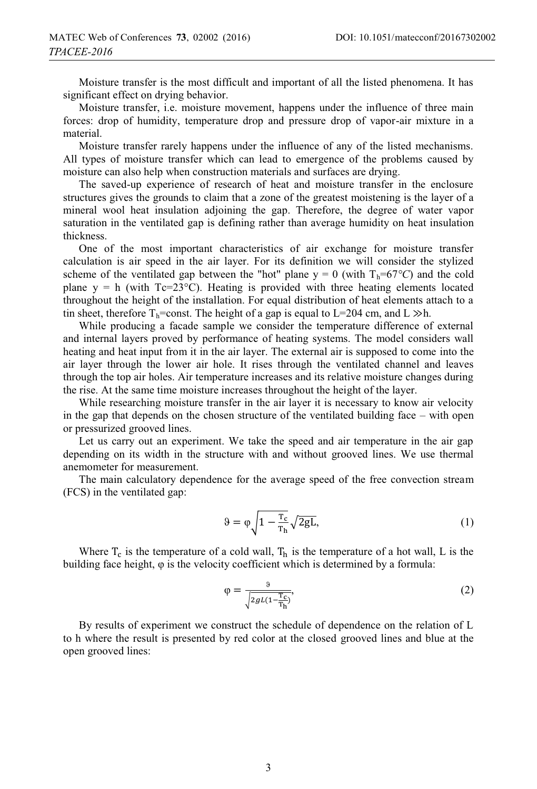Moisture transfer is the most difficult and important of all the listed phenomena. It has significant effect on drying behavior.

Moisture transfer, i.e. moisture movement, happens under the influence of three main forces: drop of humidity, temperature drop and pressure drop of vapor-air mixture in a material.

Moisture transfer rarely happens under the influence of any of the listed mechanisms. All types of moisture transfer which can lead to emergence of the problems caused by moisture can also help when construction materials and surfaces are drying.

The saved-up experience of research of heat and moisture transfer in the enclosure structures gives the grounds to claim that a zone of the greatest moistening is the layer of a mineral wool heat insulation adjoining the gap. Therefore, the degree of water vapor saturation in the ventilated gap is defining rather than average humidity on heat insulation thickness.

One of the most important characteristics of air exchange for moisture transfer calculation is air speed in the air layer. For its definition we will consider the stylized scheme of the ventilated gap between the "hot" plane  $y = 0$  (with  $T_h=67^{\circ}C$ ) and the cold plane  $y = h$  (with Tc=23 $^{\circ}$ C). Heating is provided with three heating elements located throughout the height of the installation. For equal distribution of heat elements attach to a tin sheet, therefore T<sub>h</sub>=const. The height of a gap is equal to L=204 cm, and L  $\gg$ h.

While producing a facade sample we consider the temperature difference of external and internal layers proved by performance of heating systems. The model considers wall heating and heat input from it in the air layer. The external air is supposed to come into the air layer through the lower air hole. It rises through the ventilated channel and leaves through the top air holes. Air temperature increases and its relative moisture changes during the rise. At the same time moisture increases throughout the height of the layer.

While researching moisture transfer in the air layer it is necessary to know air velocity in the gap that depends on the chosen structure of the ventilated building face – with open or pressurized grooved lines.

Let us carry out an experiment. We take the speed and air temperature in the air gap depending on its width in the structure with and without grooved lines. We use thermal anemometer for measurement.

The main calculatory dependence for the average speed of the free convection stream (FCS) in the ventilated gap:

$$
\vartheta = \varphi \sqrt{1 - \frac{T_c}{T_h}} \sqrt{2gL},\tag{1}
$$

Where  $T_c$  is the temperature of a cold wall,  $T_h$  is the temperature of a hot wall, L is the building face height, φ is the velocity coefficient which is determined by a formula:

$$
\varphi = \frac{9}{\sqrt{2gL(1 - \frac{T_{\mathbb{C}}}{T_{\mathbb{H}}})}},\tag{2}
$$

By results of experiment we construct the schedule of dependence on the relation of L to h where the result is presented by red color at the closed grooved lines and blue at the open grooved lines: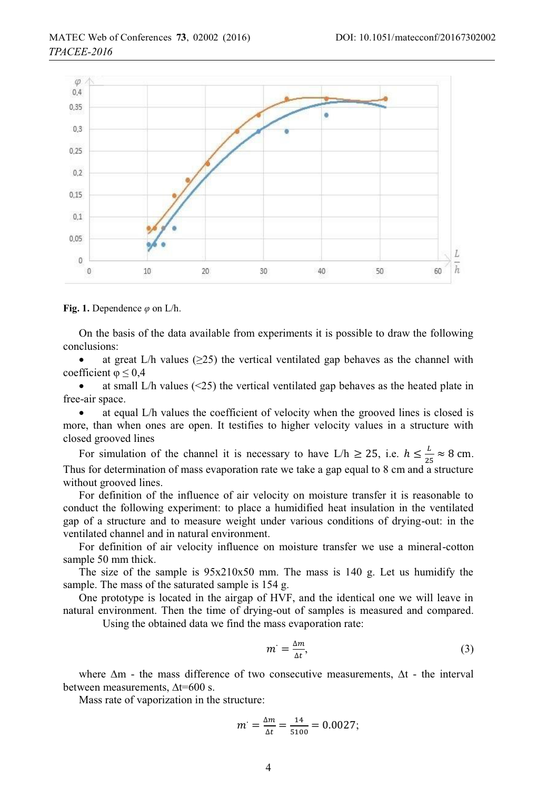

**Fig. 1.** Dependence *<sup>φ</sup>* on L/h.

On the basis of the data available from experiments it is possible to draw the following conclusions:

at great L/h values ( $\geq 25$ ) the vertical ventilated gap behaves as the channel with coefficient  $\varphi \leq 0.4$ 

at small  $L/h$  values  $(\leq 25)$  the vertical ventilated gap behaves as the heated plate in free-air space.

 $\bullet$  at equal L/h values the coefficient of velocity when the grooved lines is closed is more, than when ones are open. It testifies to higher velocity values in a structure with closed grooved lines

For simulation of the channel it is necessary to have  $L/h \ge 25$ , i.e.  $h \le \frac{2}{25} \approx 8$  cm. Thus for determination of mass evaporation rate we take a gap equal to 8 cm and a structure without grooved lines.

For definition of the influence of air velocity on moisture transfer it is reasonable to conduct the following experiment: to place a humidified heat insulation in the ventilated gap of a structure and to measure weight under various conditions of drying-out: in the ventilated channel and in natural environment.

For definition of air velocity influence on moisture transfer we use a mineral-cotton sample 50 mm thick.

The size of the sample is  $95x210x50$  mm. The mass is 140 g. Let us humidify the sample. The mass of the saturated sample is 154 g.

One prototype is located in the airgap of HVF, and the identical one we will leave in natural environment. Then the time of drying-out of samples is measured and compared.

Using the obtained data we find the mass evaporation rate:

$$
m' = \frac{\Delta m}{\Delta t},\tag{3}
$$

where ∆m - the mass difference of two consecutive measurements, ∆t - the interval between measurements, Δt=600 s.

Mass rate of vaporization in the structure:

$$
m' = \frac{\Delta m}{\Delta t} = \frac{14}{5100} = 0.0027;
$$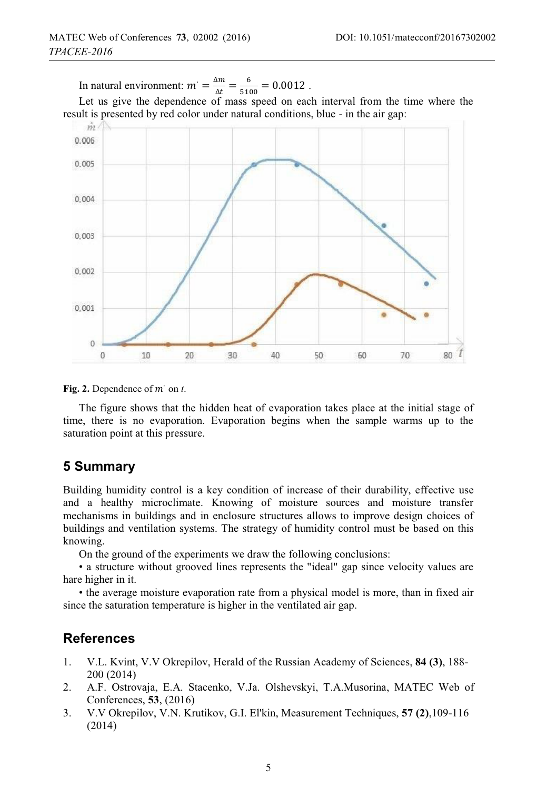In natural environment:  $m' = \frac{\Delta m}{\Delta t} = \frac{6}{5100} = 0.0012$ .

 Let us give the dependence of mass speed on each interval from the time where the result is presented by red color under natural conditions, blue - in the air gap:



Fig. 2. Dependence of  $m'$  on  $t$ .

The figure shows that the hidden heat of evaporation takes place at the initial stage of time, there is no evaporation. Evaporation begins when the sample warms up to the saturation point at this pressure.

#### **5 Summary**

Building humidity control is a key condition of increase of their durability, effective use and a healthy microclimate. Knowing of moisture sources and moisture transfer mechanisms in buildings and in enclosure structures allows to improve design choices of buildings and ventilation systems. The strategy of humidity control must be based on this knowing.

On the ground of the experiments we draw the following conclusions:

• a structure without grooved lines represents the "ideal" gap since velocity values are hare higher in it.

• the average moisture evaporation rate from a physical model is more, than in fixed air since the saturation temperature is higher in the ventilated air gap.

## **References**

- 1. V.L. Kvint, V.V Okrepilov, Herald of the Russian Academy of Sciences, **84 (3)**, 188- 200 (2014)
- 2. A.F. Ostrovaja, E.A. Stacenko, V.Ja. Olshevskyi, T.A.Musorina, MATEC Web of Conferences, **53**, (2016)
- 3. V.V Okrepilov, V.N. Krutikov, G.I. El'kin, Measurement Techniques, **57 (2)**,109-116 (2014)